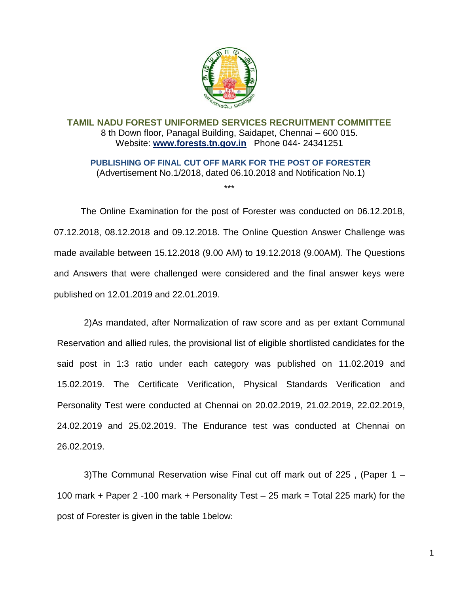

**TAMIL NADU FOREST UNIFORMED SERVICES RECRUITMENT COMMITTEE** 8 th Down floor, Panagal Building, Saidapet, Chennai – 600 015. Website: **[www.forests.tn.gov.in](http://www.forests.tn.gov.in/)** Phone 044- 24341251

**PUBLISHING OF FINAL CUT OFF MARK FOR THE POST OF FORESTER**  (Advertisement No.1/2018, dated 06.10.2018 and Notification No.1)

\*\*\*

The Online Examination for the post of Forester was conducted on 06.12.2018, 07.12.2018, 08.12.2018 and 09.12.2018. The Online Question Answer Challenge was made available between 15.12.2018 (9.00 AM) to 19.12.2018 (9.00AM). The Questions and Answers that were challenged were considered and the final answer keys were published on 12.01.2019 and 22.01.2019.

2)As mandated, after Normalization of raw score and as per extant Communal Reservation and allied rules, the provisional list of eligible shortlisted candidates for the said post in 1:3 ratio under each category was published on 11.02.2019 and 15.02.2019. The Certificate Verification, Physical Standards Verification and Personality Test were conducted at Chennai on 20.02.2019, 21.02.2019, 22.02.2019, 24.02.2019 and 25.02.2019. The Endurance test was conducted at Chennai on 26.02.2019.

3)The Communal Reservation wise Final cut off mark out of 225 , (Paper 1 – 100 mark + Paper 2 -100 mark + Personality Test – 25 mark = Total 225 mark) for the post of Forester is given in the table 1below:

1